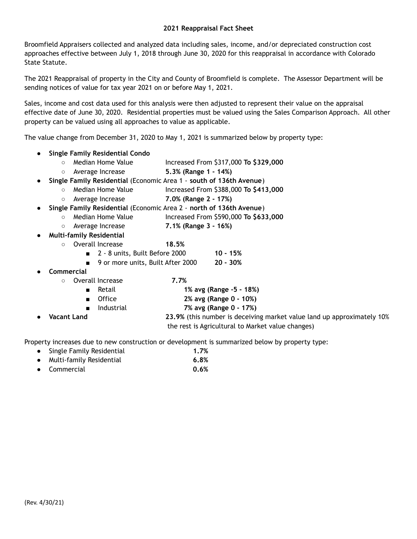Broomfield Appraisers collected and analyzed data including sales, income, and/or depreciated construction cost approaches effective between July 1, 2018 through June 30, 2020 for this reappraisal in accordance with Colorado State Statute.

The 2021 Reappraisal of property in the City and County of Broomfield is complete. The Assessor Department will be sending notices of value for tax year 2021 on or before May 1, 2021.

Sales, income and cost data used for this analysis were then adjusted to represent their value on the appraisal effective date of June 30, 2020. Residential properties must be valued using the Sales Comparison Approach. All other property can be valued using all approaches to value as applicable.

The value change from December 31, 2020 to May 1, 2021 is summarized below by property type:

- **● Single Family Residential Condo**
	- Median Home Value Increased From \$317,000 **To \$329,000**
	- Average Increase **5.3% (Range 1 - 14%)**
- **Single Family Residential** (Economic Area 1 **south of 136th Avenue**)
	- Median Home Value Increased From \$388,000 **To \$413,000**
	- Average Increase **7.0% (Range 2 - 17%)**
- **Single Family Residential** (Economic Area 2 **north of 136th Avenue**)
	- Median Home Value Increased From \$590,000 **To \$633,000**
	- Average Increase **7.1% (Range 3 - 16%)**
- **● Multi-family Residential**
	- Overall Increase **18.5%**
		- 2 8 units, Built Before 2000 **10 - 15%**
		- **■** 9 or more units, Built After 2000 **20 - 30%**
- **● Commercial**
	- Overall Increase **7.7%**
		- Retail **1% avg (Range -5 - 18%)**
		- Office **2% avg (Range 0 - 10%)**
		- Industrial **7% avg (Range 0 - 17%)**
- **Vacant Land 23.9%** (this number is deceiving market value land up approximately 10% the rest is Agricultural to Market value changes)

Property increases due to new construction or development is summarized below by property type:

- Single Family Residential **1.7%**
- Multi-family Residential **6.8%**
- Commercial **0.6%**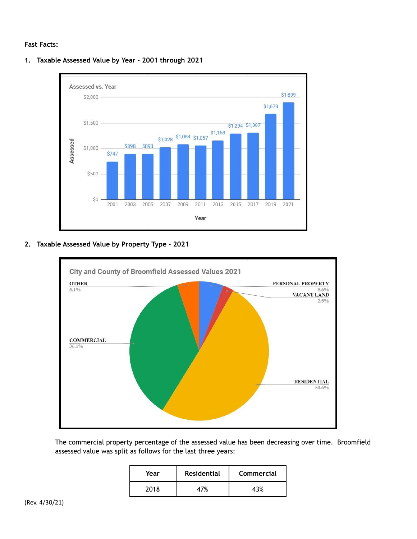# **Fast Facts:**



**1. Taxable Assessed Value by Year - 2001 through 2021**

**2. Taxable Assessed Value by Property Type - 2021**



The commercial property percentage of the assessed value has been decreasing over time. Broomfield assessed value was split as follows for the last three years:

| Year | <b>Residential</b> | Commercial |
|------|--------------------|------------|
| 2018 |                    |            |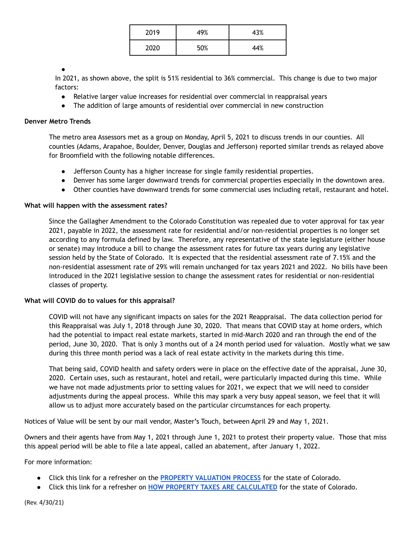| 2019 | 49% | 43% |
|------|-----|-----|
| 2020 | 50% | 44% |

#### ●

In 2021, as shown above, the split is 51% residential to 36% commercial. This change is due to two major factors:

- Relative larger value increases for residential over commercial in reappraisal years
- The addition of large amounts of residential over commercial in new construction

### **Denver Metro Trends**

The metro area Assessors met as a group on Monday, April 5, 2021 to discuss trends in our counties. All counties (Adams, Arapahoe, Boulder, Denver, Douglas and Jefferson) reported similar trends as relayed above for Broomfield with the following notable differences.

- Jefferson County has a higher increase for single family residential properties.
- Denver has some larger downward trends for commercial properties especially in the downtown area.
- Other counties have downward trends for some commercial uses including retail, restaurant and hotel.

### **What will happen with the assessment rates?**

Since the Gallagher Amendment to the Colorado Constitution was repealed due to voter approval for tax year 2021, payable in 2022, the assessment rate for residential and/or non-residential properties is no longer set according to any formula defined by law. Therefore, any representative of the state legislature (either house or senate) may introduce a bill to change the assessment rates for future tax years during any legislative session held by the State of Colorado. It is expected that the residential assessment rate of 7.15% and the non-residential assessment rate of 29% will remain unchanged for tax years 2021 and 2022. No bills have been introduced in the 2021 legislative session to change the assessment rates for residential or non-residential classes of property.

## **What will COVID do to values for this appraisal?**

COVID will not have any significant impacts on sales for the 2021 Reappraisal. The data collection period for this Reappraisal was July 1, 2018 through June 30, 2020. That means that COVID stay at home orders, which had the potential to impact real estate markets, started in mid-March 2020 and ran through the end of the period, June 30, 2020. That is only 3 months out of a 24 month period used for valuation. Mostly what we saw during this three month period was a lack of real estate activity in the markets during this time.

That being said, COVID health and safety orders were in place on the effective date of the appraisal, June 30, 2020. Certain uses, such as restaurant, hotel and retail, were particularly impacted during this time. While we have not made adjustments prior to setting values for 2021, we expect that we will need to consider adjustments during the appeal process. While this may spark a very busy appeal season, we feel that it will allow us to adjust more accurately based on the particular circumstances for each property.

Notices of Value will be sent by our mail vendor, Master's Touch, between April 29 and May 1, 2021.

Owners and their agents have from May 1, 2021 through June 1, 2021 to protest their property value. Those that miss this appeal period will be able to file a late appeal, called an abatement, after January 1, 2022.

For more information:

- Click this link for a refresher on the **PROPERTY [VALUATION](https://docs.google.com/document/u/0/d/1e1AOtgG50QviwY4iG5P0XvesX7n7j1Uy3F43zQ4FMdU/edit) PROCESS** for the state of Colorado.
- Click this link for a refresher on **HOW PROPERTY TAXES ARE [CALCULATED](https://docs.google.com/document/d/1mIaOkPXVsvJ20PARlMCyy3bz_I82JoCoWw9GglHJdI4/edit?usp=sharing)** for the state of Colorado.